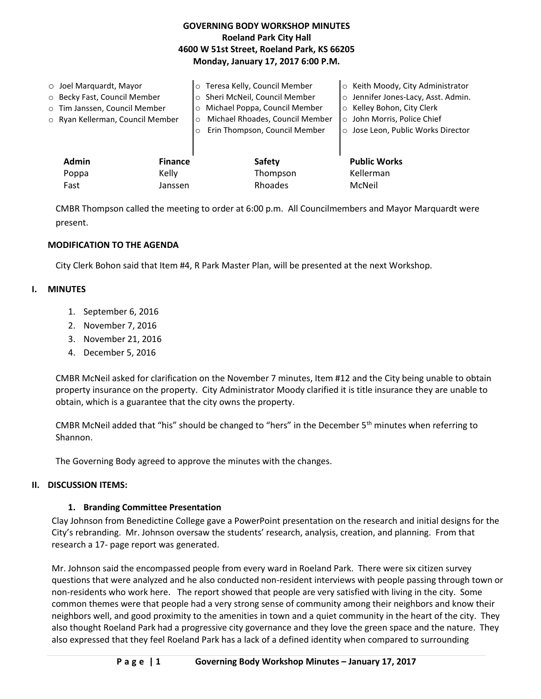| <b>GOVERNING BODY WORKSHOP MINUTES</b>     |  |  |  |  |
|--------------------------------------------|--|--|--|--|
| <b>Roeland Park City Hall</b>              |  |  |  |  |
| 4600 W 51st Street, Roeland Park, KS 66205 |  |  |  |  |
| Monday, January 17, 2017 6:00 P.M.         |  |  |  |  |

| $\circ$ Joel Marquardt, Mayor    |                | o Teresa Kelly, Council Member             | ○ Keith Moody, City Administrator   |
|----------------------------------|----------------|--------------------------------------------|-------------------------------------|
| O Becky Fast, Council Member     |                | o Sheri McNeil, Council Member             | o Jennifer Jones-Lacy, Asst. Admin. |
| o Tim Janssen, Council Member    |                | Michael Poppa, Council Member<br>$\circ$   | ○ Kelley Bohon, City Clerk          |
| o Ryan Kellerman, Council Member |                | Michael Rhoades, Council Member<br>$\circ$ | o John Morris, Police Chief         |
|                                  |                | Erin Thompson, Council Member              | ○ Jose Leon, Public Works Director  |
|                                  |                |                                            |                                     |
| <b>Admin</b>                     | <b>Finance</b> | <b>Safety</b>                              | <b>Public Works</b>                 |
| Poppa                            | Kelly          | Thompson                                   | Kellerman                           |
| Fast                             | Janssen        | Rhoades                                    | McNeil                              |

CMBR Thompson called the meeting to order at 6:00 p.m. All Councilmembers and Mayor Marquardt were present.

### **MODIFICATION TO THE AGENDA**

City Clerk Bohon said that Item #4, R Park Master Plan, will be presented at the next Workshop.

### **I. MINUTES**

- 1. September 6, 2016
- 2. November 7, 2016
- 3. November 21, 2016
- 4. December 5, 2016

CMBR McNeil asked for clarification on the November 7 minutes, Item #12 and the City being unable to obtain property insurance on the property. City Administrator Moody clarified it is title insurance they are unable to obtain, which is a guarantee that the city owns the property.

CMBR McNeil added that "his" should be changed to "hers" in the December 5<sup>th</sup> minutes when referring to Shannon.

The Governing Body agreed to approve the minutes with the changes.

### **II. DISCUSSION ITEMS:**

### **1. Branding Committee Presentation**

Clay Johnson from Benedictine College gave a PowerPoint presentation on the research and initial designs for the City's rebranding. Mr. Johnson oversaw the students' research, analysis, creation, and planning. From that research a 17- page report was generated.

Mr. Johnson said the encompassed people from every ward in Roeland Park. There were six citizen survey questions that were analyzed and he also conducted non-resident interviews with people passing through town or non-residents who work here. The report showed that people are very satisfied with living in the city. Some common themes were that people had a very strong sense of community among their neighbors and know their neighbors well, and good proximity to the amenities in town and a quiet community in the heart of the city. They also thought Roeland Park had a progressive city governance and they love the green space and the nature. They also expressed that they feel Roeland Park has a lack of a defined identity when compared to surrounding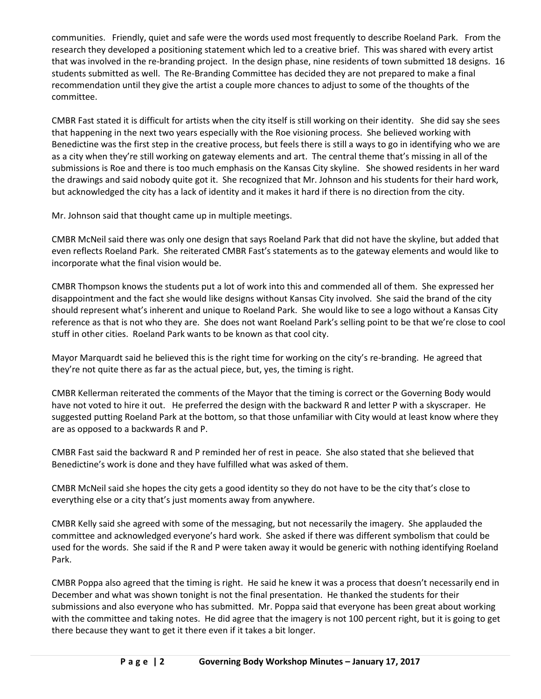communities. Friendly, quiet and safe were the words used most frequently to describe Roeland Park. From the research they developed a positioning statement which led to a creative brief. This was shared with every artist that was involved in the re-branding project. In the design phase, nine residents of town submitted 18 designs. 16 students submitted as well. The Re-Branding Committee has decided they are not prepared to make a final recommendation until they give the artist a couple more chances to adjust to some of the thoughts of the committee.

CMBR Fast stated it is difficult for artists when the city itself is still working on their identity. She did say she sees that happening in the next two years especially with the Roe visioning process. She believed working with Benedictine was the first step in the creative process, but feels there is still a ways to go in identifying who we are as a city when they're still working on gateway elements and art. The central theme that's missing in all of the submissions is Roe and there is too much emphasis on the Kansas City skyline. She showed residents in her ward the drawings and said nobody quite got it. She recognized that Mr. Johnson and his students for their hard work, but acknowledged the city has a lack of identity and it makes it hard if there is no direction from the city.

Mr. Johnson said that thought came up in multiple meetings.

CMBR McNeil said there was only one design that says Roeland Park that did not have the skyline, but added that even reflects Roeland Park. She reiterated CMBR Fast's statements as to the gateway elements and would like to incorporate what the final vision would be.

CMBR Thompson knows the students put a lot of work into this and commended all of them. She expressed her disappointment and the fact she would like designs without Kansas City involved. She said the brand of the city should represent what's inherent and unique to Roeland Park. She would like to see a logo without a Kansas City reference as that is not who they are. She does not want Roeland Park's selling point to be that we're close to cool stuff in other cities. Roeland Park wants to be known as that cool city.

Mayor Marquardt said he believed this is the right time for working on the city's re-branding. He agreed that they're not quite there as far as the actual piece, but, yes, the timing is right.

CMBR Kellerman reiterated the comments of the Mayor that the timing is correct or the Governing Body would have not voted to hire it out. He preferred the design with the backward R and letter P with a skyscraper. He suggested putting Roeland Park at the bottom, so that those unfamiliar with City would at least know where they are as opposed to a backwards R and P.

CMBR Fast said the backward R and P reminded her of rest in peace. She also stated that she believed that Benedictine's work is done and they have fulfilled what was asked of them.

CMBR McNeil said she hopes the city gets a good identity so they do not have to be the city that's close to everything else or a city that's just moments away from anywhere.

CMBR Kelly said she agreed with some of the messaging, but not necessarily the imagery. She applauded the committee and acknowledged everyone's hard work. She asked if there was different symbolism that could be used for the words. She said if the R and P were taken away it would be generic with nothing identifying Roeland Park.

CMBR Poppa also agreed that the timing is right. He said he knew it was a process that doesn't necessarily end in December and what was shown tonight is not the final presentation. He thanked the students for their submissions and also everyone who has submitted. Mr. Poppa said that everyone has been great about working with the committee and taking notes. He did agree that the imagery is not 100 percent right, but it is going to get there because they want to get it there even if it takes a bit longer.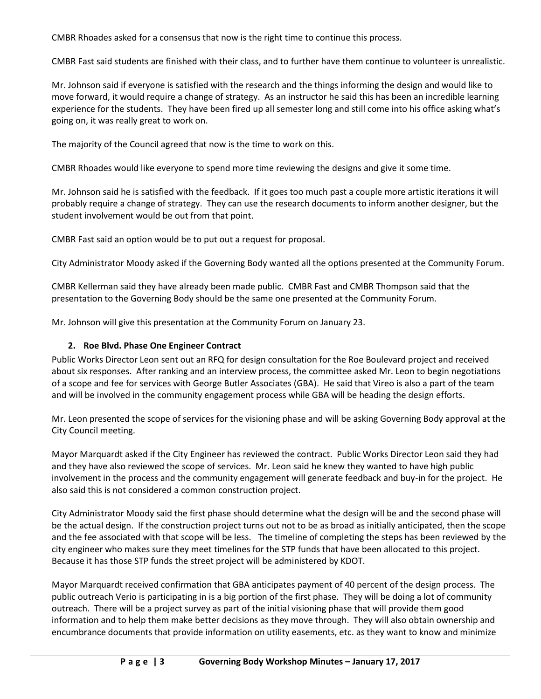CMBR Rhoades asked for a consensus that now is the right time to continue this process.

CMBR Fast said students are finished with their class, and to further have them continue to volunteer is unrealistic.

Mr. Johnson said if everyone is satisfied with the research and the things informing the design and would like to move forward, it would require a change of strategy. As an instructor he said this has been an incredible learning experience for the students. They have been fired up all semester long and still come into his office asking what's going on, it was really great to work on.

The majority of the Council agreed that now is the time to work on this.

CMBR Rhoades would like everyone to spend more time reviewing the designs and give it some time.

Mr. Johnson said he is satisfied with the feedback. If it goes too much past a couple more artistic iterations it will probably require a change of strategy. They can use the research documents to inform another designer, but the student involvement would be out from that point.

CMBR Fast said an option would be to put out a request for proposal.

City Administrator Moody asked if the Governing Body wanted all the options presented at the Community Forum.

CMBR Kellerman said they have already been made public. CMBR Fast and CMBR Thompson said that the presentation to the Governing Body should be the same one presented at the Community Forum.

Mr. Johnson will give this presentation at the Community Forum on January 23.

## **2. Roe Blvd. Phase One Engineer Contract**

Public Works Director Leon sent out an RFQ for design consultation for the Roe Boulevard project and received about six responses. After ranking and an interview process, the committee asked Mr. Leon to begin negotiations of a scope and fee for services with George Butler Associates (GBA). He said that Vireo is also a part of the team and will be involved in the community engagement process while GBA will be heading the design efforts.

Mr. Leon presented the scope of services for the visioning phase and will be asking Governing Body approval at the City Council meeting.

Mayor Marquardt asked if the City Engineer has reviewed the contract. Public Works Director Leon said they had and they have also reviewed the scope of services. Mr. Leon said he knew they wanted to have high public involvement in the process and the community engagement will generate feedback and buy-in for the project. He also said this is not considered a common construction project.

City Administrator Moody said the first phase should determine what the design will be and the second phase will be the actual design. If the construction project turns out not to be as broad as initially anticipated, then the scope and the fee associated with that scope will be less. The timeline of completing the steps has been reviewed by the city engineer who makes sure they meet timelines for the STP funds that have been allocated to this project. Because it has those STP funds the street project will be administered by KDOT.

Mayor Marquardt received confirmation that GBA anticipates payment of 40 percent of the design process. The public outreach Verio is participating in is a big portion of the first phase. They will be doing a lot of community outreach. There will be a project survey as part of the initial visioning phase that will provide them good information and to help them make better decisions as they move through. They will also obtain ownership and encumbrance documents that provide information on utility easements, etc. as they want to know and minimize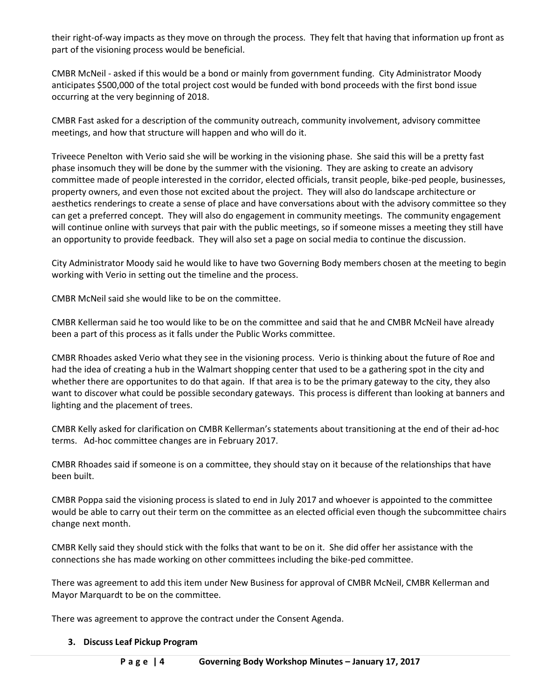their right-of-way impacts as they move on through the process. They felt that having that information up front as part of the visioning process would be beneficial.

CMBR McNeil - asked if this would be a bond or mainly from government funding. City Administrator Moody anticipates \$500,000 of the total project cost would be funded with bond proceeds with the first bond issue occurring at the very beginning of 2018.

CMBR Fast asked for a description of the community outreach, community involvement, advisory committee meetings, and how that structure will happen and who will do it.

Triveece Penelton with Verio said she will be working in the visioning phase. She said this will be a pretty fast phase insomuch they will be done by the summer with the visioning. They are asking to create an advisory committee made of people interested in the corridor, elected officials, transit people, bike-ped people, businesses, property owners, and even those not excited about the project. They will also do landscape architecture or aesthetics renderings to create a sense of place and have conversations about with the advisory committee so they can get a preferred concept. They will also do engagement in community meetings. The community engagement will continue online with surveys that pair with the public meetings, so if someone misses a meeting they still have an opportunity to provide feedback. They will also set a page on social media to continue the discussion.

City Administrator Moody said he would like to have two Governing Body members chosen at the meeting to begin working with Verio in setting out the timeline and the process.

CMBR McNeil said she would like to be on the committee.

CMBR Kellerman said he too would like to be on the committee and said that he and CMBR McNeil have already been a part of this process as it falls under the Public Works committee.

CMBR Rhoades asked Verio what they see in the visioning process. Verio is thinking about the future of Roe and had the idea of creating a hub in the Walmart shopping center that used to be a gathering spot in the city and whether there are opportunites to do that again. If that area is to be the primary gateway to the city, they also want to discover what could be possible secondary gateways. This process is different than looking at banners and lighting and the placement of trees.

CMBR Kelly asked for clarification on CMBR Kellerman's statements about transitioning at the end of their ad-hoc terms. Ad-hoc committee changes are in February 2017.

CMBR Rhoades said if someone is on a committee, they should stay on it because of the relationships that have been built.

CMBR Poppa said the visioning process is slated to end in July 2017 and whoever is appointed to the committee would be able to carry out their term on the committee as an elected official even though the subcommittee chairs change next month.

CMBR Kelly said they should stick with the folks that want to be on it. She did offer her assistance with the connections she has made working on other committees including the bike-ped committee.

There was agreement to add this item under New Business for approval of CMBR McNeil, CMBR Kellerman and Mayor Marquardt to be on the committee.

There was agreement to approve the contract under the Consent Agenda.

# **3. Discuss Leaf Pickup Program**